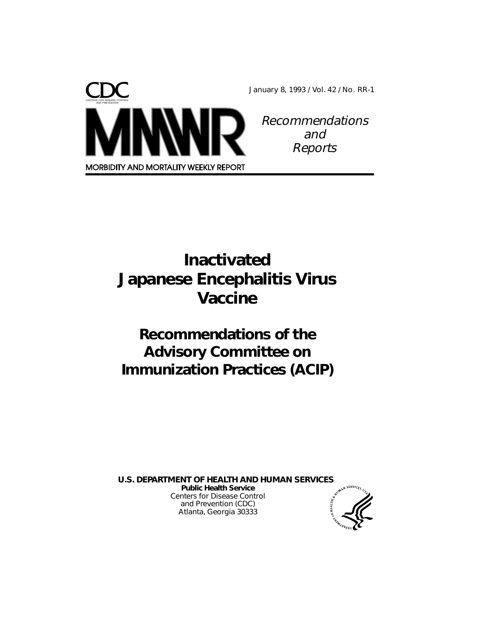

# **Inactivated Japanese Encephalitis Virus Vaccine**

# **Recommendations of the Advisory Committee on Immunization Practices (ACIP)**

**U.S. DEPARTMENT OF HEALTH AND HUMAN SERVICES Public Health Service** Centers for Disease Control and Prevention (CDC) Atlanta, Georgia 30333

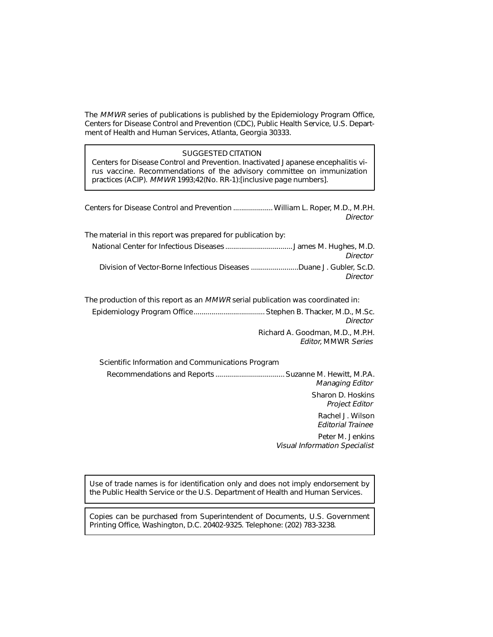The MMWR series of publications is published by the Epidemiology Program Office, Centers for Disease Control and Prevention (CDC), Public Health Service, U.S. Department of Health and Human Services, Atlanta, Georgia 30333.

### SUGGESTED CITATION

Centers for Disease Control and Prevention. Inactivated Japanese encephalitis virus vaccine. Recommendations of the advisory committee on immunization practices (ACIP). MMWR 1993;42(No. RR-1):[inclusive page numbers].

Centers for Disease Control and Prevention .................... William L. Roper, M.D., M.P.H. **Director** 

| The material in this report was prepared for publication by:        |          |
|---------------------------------------------------------------------|----------|
|                                                                     | Director |
| Division of Vector-Borne Infectious Diseases Duane J. Gubler, Sc.D. | Director |

The production of this report as an MMWR serial publication was coordinated in: Epidemiology Program Office.................................... Stephen B. Thacker, M.D., M.Sc. **Director** Richard A. Goodman, M.D., M.P.H. Editor, MMWR Series

 Scientific Information and Communications Program Recommendations and Reports ................................... Suzanne M. Hewitt, M.P.A. Managing Editor Sharon D. Hoskins Project Editor Rachel J. Wilson Editorial Trainee Peter M. Jenkins Visual Information Specialist

Use of trade names is for identification only and does not imply endorsement by the Public Health Service or the U.S. Department of Health and Human Services.

Copies can be purchased from Superintendent of Documents, U.S. Government Printing Office, Washington, D.C. 20402-9325. Telephone: (202) 783-3238.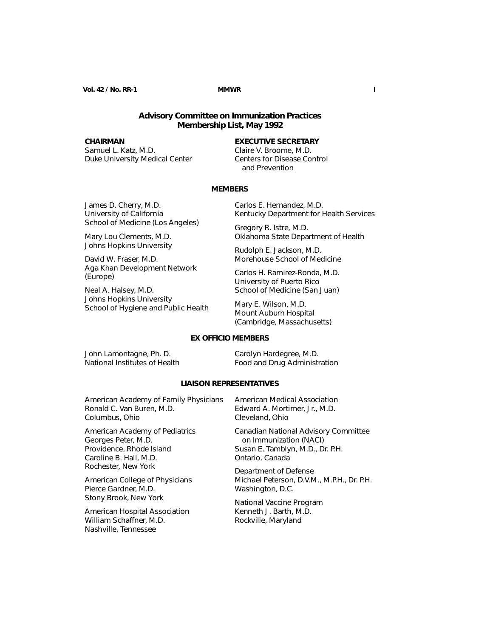**Vol. 42 / No. RR-1 MMWR i**

### **Advisory Committee on Immunization Practices Membership List, May 1992**

**CHAIRMAN**

Samuel L. Katz, M.D. Duke University Medical Center

### **EXECUTIVE SECRETARY**

Claire V. Broome, M.D. Centers for Disease Control and Prevention

### **MEMBERS**

James D. Cherry, M.D. University of California School of Medicine (Los Angeles)

Mary Lou Clements, M.D. Johns Hopkins University

David W. Fraser, M.D. Aga Khan Development Network (Europe)

Neal A. Halsey, M.D. Johns Hopkins University School of Hygiene and Public Health Carlos E. Hernandez, M.D. Kentucky Department for Health Services

Gregory R. Istre, M.D. Oklahoma State Department of Health

Rudolph E. Jackson, M.D. Morehouse School of Medicine

Carlos H. Ramirez-Ronda, M.D. University of Puerto Rico School of Medicine (San Juan)

Mary E. Wilson, M.D. Mount Auburn Hospital (Cambridge, Massachusetts)

### **EX OFFICIO MEMBERS**

John Lamontagne, Ph. D. National Institutes of Health Carolyn Hardegree, M.D. Food and Drug Administration

### **LIAISON REPRESENTATIVES**

American Academy of Family Physicians Ronald C. Van Buren, M.D. Columbus, Ohio

American Academy of Pediatrics Georges Peter, M.D. Providence, Rhode Island Caroline B. Hall, M.D. Rochester, New York

American College of Physicians Pierce Gardner, M.D. Stony Brook, New York

American Hospital Association William Schaffner, M.D. Nashville, Tennessee

American Medical Association Edward A. Mortimer, Jr., M.D. Cleveland, Ohio

Canadian National Advisory Committee on Immunization (NACI) Susan E. Tamblyn, M.D., Dr. P.H. Ontario, Canada

Department of Defense Michael Peterson, D.V.M., M.P.H., Dr. P.H. Washington, D.C.

National Vaccine Program Kenneth J. Barth, M.D. Rockville, Maryland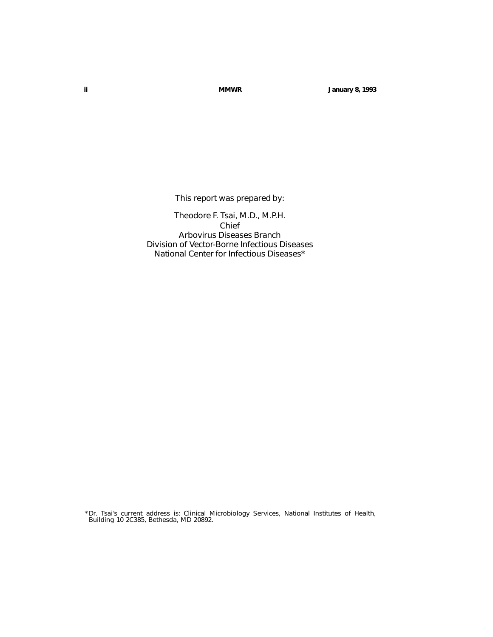**ii MMWR January 8, 1993**

This report was prepared by:

Theodore F. Tsai, M.D., M.P.H. Chief Arbovirus Diseases Branch Division of Vector-Borne Infectious Diseases National Center for Infectious Diseases\*

\*Dr. Tsai's current address is: Clinical Microbiology Services, National Institutes of Health, Building 10 2C385, Bethesda, MD 20892.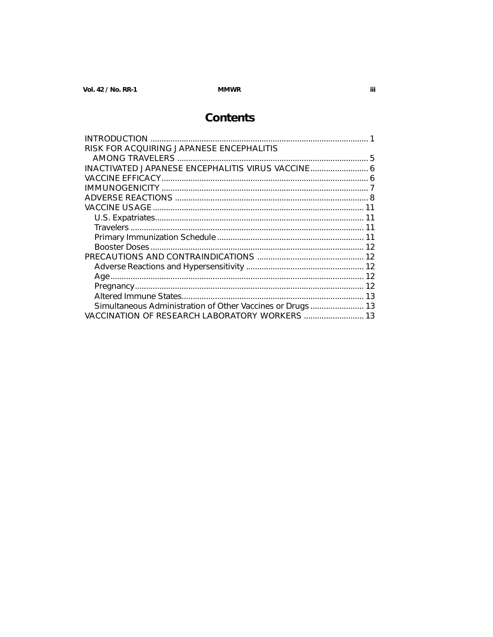### **MMWR**

## **Contents**

| RISK FOR ACQUIRING JAPANESE ENCEPHALITIS                   |  |
|------------------------------------------------------------|--|
|                                                            |  |
| INACTIVATED JAPANESE ENCEPHALITIS VIRUS VACCINE 6          |  |
|                                                            |  |
|                                                            |  |
|                                                            |  |
|                                                            |  |
|                                                            |  |
|                                                            |  |
|                                                            |  |
|                                                            |  |
|                                                            |  |
|                                                            |  |
|                                                            |  |
|                                                            |  |
|                                                            |  |
| Simultaneous Administration of Other Vaccines or Drugs  13 |  |
| VACCINATION OF RESEARCH LABORATORY WORKERS  13             |  |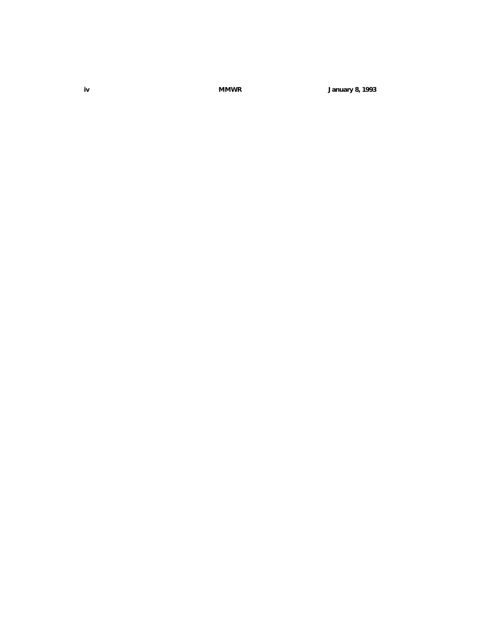**iv MMWR January 8, 1993**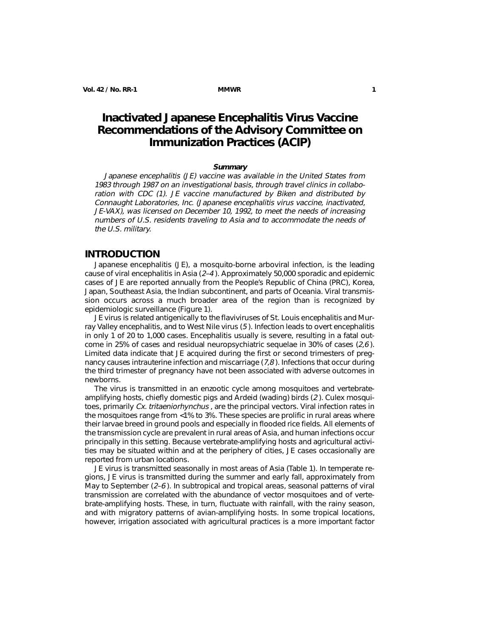## **Inactivated Japanese Encephalitis Virus Vaccine Recommendations of the Advisory Committee on Immunization Practices (ACIP)**

### **Summary**

Japanese encephalitis (JE) vaccine was available in the United States from 1983 through 1987 on an investigational basis, through travel clinics in collaboration with CDC (1). JE vaccine manufactured by Biken and distributed by Connaught Laboratories, Inc. (Japanese encephalitis virus vaccine, inactivated, JE-VAX), was licensed on December 10, 1992, to meet the needs of increasing numbers of U.S. residents traveling to Asia and to accommodate the needs of the U.S. military.

### **INTRODUCTION**

Japanese encephalitis (JE), a mosquito-borne arboviral infection, is the leading cause of viral encephalitis in Asia (2–4 ). Approximately 50,000 sporadic and epidemic cases of JE are reported annually from the People's Republic of China (PRC), Korea, Japan, Southeast Asia, the Indian subcontinent, and parts of Oceania. Viral transmission occurs across a much broader area of the region than is recognized by epidemiologic surveillance (Figure 1).

JE virus is related antigenically to the flaviviruses of St. Louis encephalitis and Murray Valley encephalitis, and to West Nile virus (5 ). Infection leads to overt encephalitis in only 1 of 20 to 1,000 cases. Encephalitis usually is severe, resulting in a fatal outcome in 25% of cases and residual neuropsychiatric sequelae in 30% of cases (2,6 ). Limited data indicate that JE acquired during the first or second trimesters of pregnancy causes intrauterine infection and miscarriage (7,8 ). Infections that occur during the third trimester of pregnancy have not been associated with adverse outcomes in newborns.

The virus is transmitted in an enzootic cycle among mosquitoes and vertebrateamplifying hosts, chiefly domestic pigs and Ardeid (wading) birds (2 ). Culex mosquitoes, primarily Cx. tritaeniorhynchus, are the principal vectors. Viral infection rates in the mosquitoes range from <1% to 3%. These species are prolific in rural areas where their larvae breed in ground pools and especially in flooded rice fields. All elements of the transmission cycle are prevalent in rural areas of Asia, and human infections occur principally in this setting. Because vertebrate-amplifying hosts and agricultural activities may be situated within and at the periphery of cities, JE cases occasionally are reported from urban locations.

JE virus is transmitted seasonally in most areas of Asia (Table 1). In temperate regions, JE virus is transmitted during the summer and early fall, approximately from May to September (2–6 ). In subtropical and tropical areas, seasonal patterns of viral transmission are correlated with the abundance of vector mosquitoes and of vertebrate-amplifying hosts. These, in turn, fluctuate with rainfall, with the rainy season, and with migratory patterns of avian-amplifying hosts. In some tropical locations, however, irrigation associated with agricultural practices is a more important factor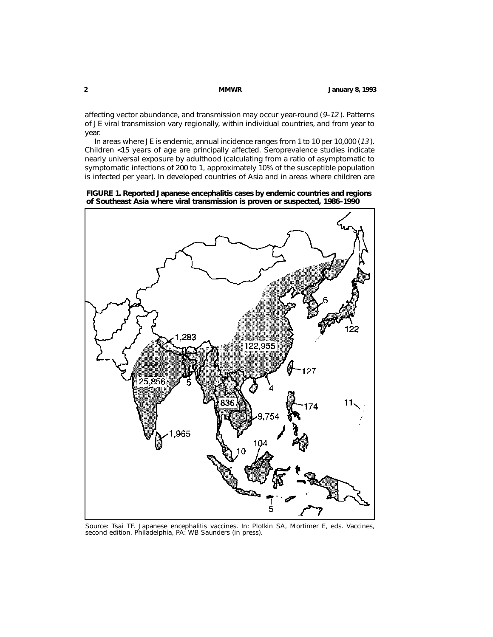affecting vector abundance, and transmission may occur year-round (9–12 ). Patterns of JE viral transmission vary regionally, within individual countries, and from year to year.

In areas where JE is endemic, annual incidence ranges from 1 to 10 per 10,000 (13 ). Children <15 years of age are principally affected. Seroprevalence studies indicate nearly universal exposure by adulthood (calculating from a ratio of asymptomatic to symptomatic infections of 200 to 1, approximately 10% of the susceptible population is infected per year). In developed countries of Asia and in areas where children are

**FIGURE 1. Reported Japanese encephalitis cases by endemic countries and regions of Southeast Asia where viral transmission is proven or suspected, 1986–1990**



Source: Tsai TF. Japanese encephalitis vaccines. In: Plotkin SA, Mortimer E, eds. Vaccines, second edition. Philadelphia, PA: WB Saunders (in press).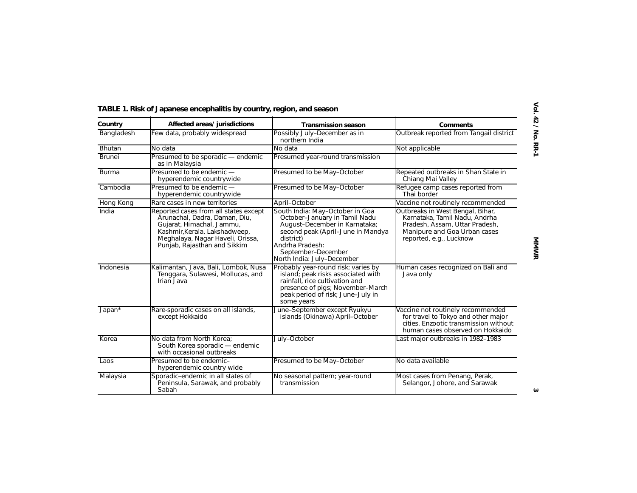| Country<br>Affected areas/jurisdictions |                                                                                                                                                                                                          | <b>Transmission season</b>                                                                                                                                                                                                 | <b>Comments</b>                                                                                                                                                |  |  |
|-----------------------------------------|----------------------------------------------------------------------------------------------------------------------------------------------------------------------------------------------------------|----------------------------------------------------------------------------------------------------------------------------------------------------------------------------------------------------------------------------|----------------------------------------------------------------------------------------------------------------------------------------------------------------|--|--|
| Bangladesh                              | Few data, probably widespread                                                                                                                                                                            | Possibly July-December as in<br>northern India                                                                                                                                                                             | Outbreak reported from Tangail district                                                                                                                        |  |  |
| Bhutan                                  | No data                                                                                                                                                                                                  | No data                                                                                                                                                                                                                    | Not applicable                                                                                                                                                 |  |  |
| <b>Brunei</b>                           | Presumed to be sporadic - endemic<br>as in Malaysia                                                                                                                                                      | Presumed year-round transmission                                                                                                                                                                                           |                                                                                                                                                                |  |  |
| <b>Burma</b>                            | Presumed to be endemic -<br>hyperendemic countrywide                                                                                                                                                     | Presumed to be May-October                                                                                                                                                                                                 | Repeated outbreaks in Shan State in<br>Chiang Mai Valley                                                                                                       |  |  |
| Cambodia                                | Presumed to be endemic -<br>hyperendemic countrywide                                                                                                                                                     | Presumed to be May-October                                                                                                                                                                                                 | Refugee camp cases reported from<br>Thai border                                                                                                                |  |  |
| Hong Kong                               | Rare cases in new territories                                                                                                                                                                            | April-October                                                                                                                                                                                                              | Vaccine not routinely recommended                                                                                                                              |  |  |
| India                                   | Reported cases from all states except<br>Arunachal, Dadra, Daman, Diu,<br>Gujarat, Himachal, Jammu,<br>Kashmir, Kerala, Lakshadweep,<br>Meghalaya, Nagar Haveli, Orissa,<br>Punjab, Rajasthan and Sikkim | South India: May-October in Goa<br>October-January in Tamil Nadu<br>August-December in Karnataka;<br>second peak (April-June in Mandya<br>district)<br>Andrha Pradesh:<br>September-December<br>North India: July-December | Outbreaks in West Bengal, Bihar,<br>Karnataka, Tamil Nadu, Andrha<br>Pradesh, Assam, Uttar Pradesh,<br>Manipure and Goa Urban cases<br>reported, e.g., Lucknow |  |  |
| Indonesia                               | Kalimantan, Java, Bali, Lombok, Nusa<br>Tenggara, Sulawesi, Mollucas, and<br>Irian Java                                                                                                                  | Probably year-round risk; varies by<br>island; peak risks associated with<br>rainfall, rice cultivation and<br>presence of pigs; November-March<br>peak period of risk; June-July in<br>some years                         | Human cases recognized on Bali and<br>Java only                                                                                                                |  |  |
| Japan*                                  | Rare-sporadic cases on all islands,<br>except Hokkaido                                                                                                                                                   | June-September except Ryukyu<br>islands (Okinawa) April-October                                                                                                                                                            | Vaccine not routinely recommended<br>for travel to Tokyo and other major<br>cities. Enzootic transmission without<br>human cases observed on Hokkaido          |  |  |
| Korea                                   | No data from North Korea;<br>South Korea sporadic - endemic<br>with occasional outbreaks                                                                                                                 | July-October                                                                                                                                                                                                               | Last major outbreaks in 1982-1983                                                                                                                              |  |  |
| Laos                                    | Presumed to be endemic-<br>hyperendemic country wide                                                                                                                                                     | Presumed to be May-October                                                                                                                                                                                                 | No data available                                                                                                                                              |  |  |
| Malaysia                                | Sporadic-endemic in all states of<br>Peninsula, Sarawak, and probably<br>Sabah                                                                                                                           | No seasonal pattern; year-round<br>transmission                                                                                                                                                                            | Most cases from Penang, Perak,<br>Selangor, Johore, and Sarawak                                                                                                |  |  |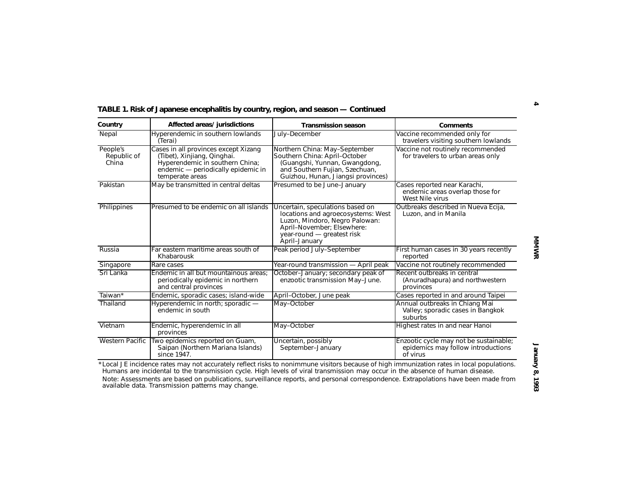| Country<br>Affected areas/jurisdictions |                                                                                                                                                                 | <b>Transmission season</b>                                                                                                                                                            | Comments                                                                                 |  |  |
|-----------------------------------------|-----------------------------------------------------------------------------------------------------------------------------------------------------------------|---------------------------------------------------------------------------------------------------------------------------------------------------------------------------------------|------------------------------------------------------------------------------------------|--|--|
| Nepal                                   | Hyperendemic in southern lowlands<br>(Terai)                                                                                                                    | July-December                                                                                                                                                                         | Vaccine recommended only for<br>travelers visiting southern lowlands                     |  |  |
| People's<br>Republic of<br>China        | Cases in all provinces except Xizang<br>(Tibet), Xinjiang, Qinghai.<br>Hyperendemic in southern China;<br>endemic - periodically epidemic in<br>temperate areas | Northern China: May-September<br>Southern China: April-October<br>(Guangshi, Yunnan, Gwangdong,<br>and Southern Fujian, Szechuan,<br>Guizhou, Hunan, Jiangsi provinces)               | Vaccine not routinely recommended<br>for travelers to urban areas only                   |  |  |
| Pakistan                                | May be transmitted in central deltas                                                                                                                            | Presumed to be June-January                                                                                                                                                           | Cases reported near Karachi,<br>endemic areas overlap those for<br>West Nile virus       |  |  |
| Philippines                             | Presumed to be endemic on all islands                                                                                                                           | Uncertain, speculations based on<br>locations and agroecosystems: West<br>Luzon, Mindoro, Negro Palowan:<br>April-November; Elsewhere:<br>year-round - greatest risk<br>April-January | Outbreaks described in Nueva Ecija,<br>Luzon, and in Manila                              |  |  |
| Russia                                  | Far eastern maritime areas south of<br>Khabarousk                                                                                                               | Peak period July-September                                                                                                                                                            | First human cases in 30 years recently<br>reported                                       |  |  |
| Singapore                               | Rare cases                                                                                                                                                      | Year-round transmission - April peak                                                                                                                                                  | Vaccine not routinely recommended                                                        |  |  |
| Sri Lanka                               | Endemic in all but mountainous areas;<br>periodically epidemic in northern<br>and central provinces                                                             | October-January; secondary peak of<br>enzootic transmission May-June.                                                                                                                 | Recent outbreaks in central<br>(Anuradhapura) and northwestern<br>provinces              |  |  |
| Taiwan*                                 | Endemic, sporadic cases; island-wide                                                                                                                            | April-October, June peak                                                                                                                                                              | Cases reported in and around Taipei                                                      |  |  |
| Thailand                                | Hyperendemic in north; sporadic -<br>endemic in south                                                                                                           | May-October                                                                                                                                                                           | Annual outbreaks in Chiang Mai<br>Valley; sporadic cases in Bangkok<br>suburbs           |  |  |
| Vietnam                                 | Endemic, hyperendemic in all<br>provinces                                                                                                                       | May-October                                                                                                                                                                           | Highest rates in and near Hanoi                                                          |  |  |
| <b>Western Pacific</b>                  | Two epidemics reported on Guam,<br>Saipan (Northern Mariana Islands)<br>since 1947.                                                                             | Uncertain, possibly<br>September-January                                                                                                                                              | Enzootic cycle may not be sustainable;<br>epidemics may follow introductions<br>of virus |  |  |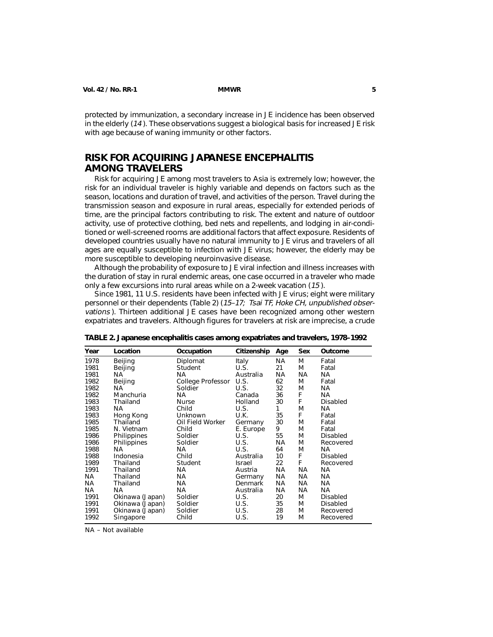protected by immunization, a secondary increase in JE incidence has been observed in the elderly (14 ). These observations suggest a biological basis for increased JE risk with age because of waning immunity or other factors.

### **RISK FOR ACQUIRING JAPANESE ENCEPHALITIS AMONG TRAVELERS**

Risk for acquiring JE among most travelers to Asia is extremely low; however, the risk for an individual traveler is highly variable and depends on factors such as the season, locations and duration of travel, and activities of the person. Travel during the transmission season and exposure in rural areas, especially for extended periods of time, are the principal factors contributing to risk. The extent and nature of outdoor activity, use of protective clothing, bed nets and repellents, and lodging in air-conditioned or well-screened rooms are additional factors that affect exposure. Residents of developed countries usually have no natural immunity to JE virus and travelers of all ages are equally susceptible to infection with JE virus; however, the elderly may be more susceptible to developing neuroinvasive disease.

Although the probability of exposure to JE viral infection and illness increases with the duration of stay in rural endemic areas, one case occurred in a traveler who made only a few excursions into rural areas while on a 2-week vacation (15 ).

Since 1981, 11 U.S. residents have been infected with JE virus; eight were military personnel or their dependents (Table 2) (15–17; Tsai TF, Hoke CH, unpublished observations ). Thirteen additional JE cases have been recognized among other western expatriates and travelers. Although figures for travelers at risk are imprecise, a crude

| Year | Location        | Occupation        | Citizenship | Age | Sex | Outcome   |
|------|-----------------|-------------------|-------------|-----|-----|-----------|
| 1978 | Beijing         | Diplomat          | Italy       | ΝA  | M   | Fatal     |
| 1981 | Beijing         | Student           | U.S.        | 21  | M   | Fatal     |
| 1981 | NА              | NA.               | Australia   | NА  | NА  | NA.       |
| 1982 | Beijing         | College Professor | U.S.        | 62  | M   | Fatal     |
| 1982 | NA.             | Soldier           | U.S.        | 32  | M   | NА        |
| 1982 | Manchuria       | NA                | Canada      | 36  | F   | NА        |
| 1983 | Thailand        | <b>Nurse</b>      | Holland     | 30  | F   | Disabled  |
| 1983 | NА              | Child             | U.S.        | 1   | M   | NA.       |
| 1983 | Hong Kong       | Unknown           | U.K.        | 35  | F   | Fatal     |
| 1985 | Thailand        | Oil Field Worker  | Germany     | 30  | M   | Fatal     |
| 1985 | N. Vietnam      | Child             | E. Europe   | 9   | M   | Fatal     |
| 1986 | Philippines     | Soldier           | U.S.        | 55  | M   | Disabled  |
| 1986 | Philippines     | Soldier           | U.S.        | NА  | M   | Recovered |
| 1988 | ΝA              | NA                | U.S.        | 64  | M   | NA.       |
| 1988 | Indonesia       | Child             | Australia   | 10  | F   | Disabled  |
| 1989 | Thailand        | Student           | Israel      | 22  | F   | Recovered |
| 1991 | Thailand        | NA                | Austria     | ΝA  | NА  | NA.       |
| NА   | Thailand        | ΝA                | Germany     | ΝA  | NА  | NА        |
| ΝA   | Thailand        | ΝA                | Denmark     | ΝA  | NА  | NА        |
| ΝA   | NA.             | ΝA                | Australia   | ΝA  | NА  | NА        |
| 1991 | Okinawa (Japan) | Soldier           | U.S.        | 20  | M   | Disabled  |
| 1991 | Okinawa (Japan) | Soldier           | U.S.        | 35  | M   | Disabled  |
| 1991 | Okinawa (Japan) | Soldier           | U.S.        | 28  | M   | Recovered |
| 1992 | Singapore       | Child             | U.S.        | 19  | M   | Recovered |

**TABLE 2. Japanese encephalitis cases among expatriates and travelers, 1978–1992**

NA – Not available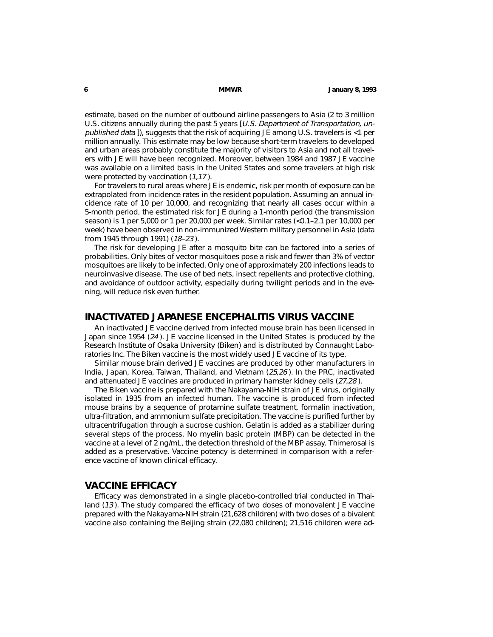estimate, based on the number of outbound airline passengers to Asia (2 to 3 million U.S. citizens annually during the past 5 years [U.S. Department of Transportation, unpublished data ]), suggests that the risk of acquiring JE among U.S. travelers is <1 per million annually. This estimate may be low because short-term travelers to developed and urban areas probably constitute the majority of visitors to Asia and not all travelers with JE will have been recognized. Moreover, between 1984 and 1987 JE vaccine was available on a limited basis in the United States and some travelers at high risk were protected by vaccination (1,17).

For travelers to rural areas where JE is endemic, risk per month of exposure can be extrapolated from incidence rates in the resident population. Assuming an annual incidence rate of 10 per 10,000, and recognizing that nearly all cases occur within a 5-month period, the estimated risk for JE during a 1-month period (the transmission season) is 1 per 5,000 or 1 per 20,000 per week. Similar rates (<0.1–2.1 per 10,000 per week) have been observed in non-immunized Western military personnel in Asia (data from 1945 through 1991) (18–23 ).

The risk for developing JE after a mosquito bite can be factored into a series of probabilities. Only bites of vector mosquitoes pose a risk and fewer than 3% of vector mosquitoes are likely to be infected. Only one of approximately 200 infections leads to neuroinvasive disease. The use of bed nets, insect repellents and protective clothing, and avoidance of outdoor activity, especially during twilight periods and in the evening, will reduce risk even further.

### **INACTIVATED JAPANESE ENCEPHALITIS VIRUS VACCINE**

An inactivated JE vaccine derived from infected mouse brain has been licensed in Japan since 1954 (24 ). JE vaccine licensed in the United States is produced by the Research Institute of Osaka University (Biken) and is distributed by Connaught Laboratories Inc. The Biken vaccine is the most widely used JE vaccine of its type.

Similar mouse brain derived JE vaccines are produced by other manufacturers in India, Japan, Korea, Taiwan, Thailand, and Vietnam (25,26 ). In the PRC, inactivated and attenuated JE vaccines are produced in primary hamster kidney cells (27,28 ).

The Biken vaccine is prepared with the Nakayama-NIH strain of JE virus, originally isolated in 1935 from an infected human. The vaccine is produced from infected mouse brains by a sequence of protamine sulfate treatment, formalin inactivation, ultra-filtration, and ammonium sulfate precipitation. The vaccine is purified further by ultracentrifugation through a sucrose cushion. Gelatin is added as a stabilizer during several steps of the process. No myelin basic protein (MBP) can be detected in the vaccine at a level of 2 ng/mL, the detection threshold of the MBP assay. Thimerosal is added as a preservative. Vaccine potency is determined in comparison with a reference vaccine of known clinical efficacy.

### **VACCINE EFFICACY**

Efficacy was demonstrated in a single placebo-controlled trial conducted in Thailand (13 ). The study compared the efficacy of two doses of monovalent JE vaccine prepared with the Nakayama-NIH strain (21,628 children) with two doses of a bivalent vaccine also containing the Beijing strain (22,080 children); 21,516 children were ad-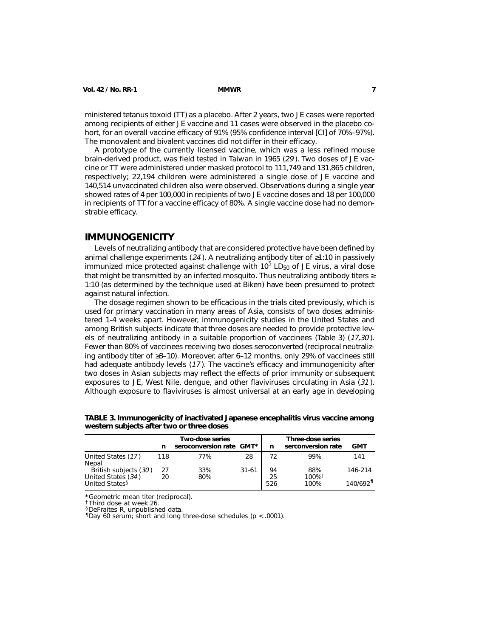ministered tetanus toxoid (TT) as a placebo. After 2 years, two JE cases were reported among recipients of either JE vaccine and 11 cases were observed in the placebo cohort, for an overall vaccine efficacy of 91% (95% confidence interval [CI] of 70%–97%). The monovalent and bivalent vaccines did not differ in their efficacy.

A prototype of the currently licensed vaccine, which was a less refined mouse brain-derived product, was field tested in Taiwan in 1965 (29 ). Two doses of JE vaccine or TT were administered under masked protocol to 111,749 and 131,865 children, respectively; 22,194 children were administered a single dose of JE vaccine and 140,514 unvaccinated children also were observed. Observations during a single year showed rates of 4 per 100,000 in recipients of two JE vaccine doses and 18 per 100,000 in recipients of TT for a vaccine efficacy of 80%. A single vaccine dose had no demonstrable efficacy.

### **IMMUNOGENICITY**

Levels of neutralizing antibody that are considered protective have been defined by animal challenge experiments (24 ). A neutralizing antibody titer of ≥1:10 in passively immunized mice protected against challenge with  $10^5$  LD<sub>50</sub> of JE virus, a viral dose that might be transmitted by an infected mosquito. Thus neutralizing antibody titers  $\ge$ 1:10 (as determined by the technique used at Biken) have been presumed to protect against natural infection.

The dosage regimen shown to be efficacious in the trials cited previously, which is used for primary vaccination in many areas of Asia, consists of two doses administered 1-4 weeks apart. However, immunogenicity studies in the United States and among British subjects indicate that three doses are needed to provide protective levels of neutralizing antibody in a suitable proportion of vaccinees (Table 3) (17,30 ). Fewer than 80% of vaccinees receiving two doses seroconverted (reciprocal neutralizing antibody titer of ≥8–10). Moreover, after 6–12 months, only 29% of vaccinees still had adequate antibody levels (17 ). The vaccine's efficacy and immunogenicity after two doses in Asian subjects may reflect the effects of prior immunity or subsequent exposures to JE, West Nile, dengue, and other flaviviruses circulating in Asia (31 ). Although exposure to flaviviruses is almost universal at an early age in developing

**TABLE 3. Immunogenicity of inactivated Japanese encephalitis virus vaccine among western subjects after two or three doses**

|                                                  | n   | Two-dose series<br>seroconversion rate | <b>GMT*</b> | n         | Three-dose series<br>serconversion rate | GMT                     |
|--------------------------------------------------|-----|----------------------------------------|-------------|-----------|-----------------------------------------|-------------------------|
| United States (17)<br>Nepal                      | 118 | 77%                                    | 28          | 72        | 99%                                     | 141                     |
| British subjects (30)                            | 27  | 33%                                    | $31 - 61$   | 94        | 88%                                     | 146-214                 |
| United States (34)<br>United States <sup>§</sup> | 20  | 80%                                    |             | 25<br>526 | $100\%$ <sup>†</sup><br>100%            | $140/692$ <sup>11</sup> |

\*Geometric mean titer (reciprocal).

†Third dose at week 26.

§DeFraites R, unpublished data.

¶Day 60 serum; short and long three-dose schedules (p < .0001).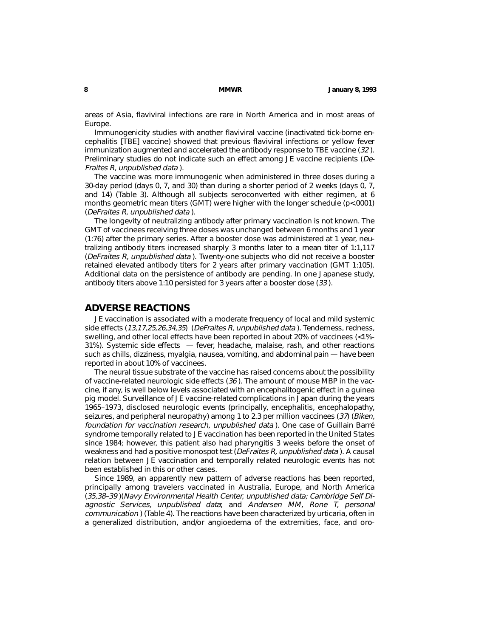areas of Asia, flaviviral infections are rare in North America and in most areas of Europe.

Immunogenicity studies with another flaviviral vaccine (inactivated tick-borne encephalitis [TBE] vaccine) showed that previous flaviviral infections or yellow fever immunization augmented and accelerated the antibody response to TBE vaccine (32 ). Preliminary studies do not indicate such an effect among JE vaccine recipients (De-Fraites R, unpublished data ).

The vaccine was more immunogenic when administered in three doses during a 30-day period (days 0, 7, and 30) than during a shorter period of 2 weeks (days 0, 7, and 14) (Table 3). Although all subjects seroconverted with either regimen, at 6 months geometric mean titers (GMT) were higher with the longer schedule (p<.0001) (DeFraites R, unpublished data ).

The longevity of neutralizing antibody after primary vaccination is not known. The GMT of vaccinees receiving three doses was unchanged between 6 months and 1 year (1:76) after the primary series. After a booster dose was administered at 1 year, neutralizing antibody titers increased sharply 3 months later to a mean titer of 1:1,117 (DeFraites R, unpublished data ). Twenty-one subjects who did not receive a booster retained elevated antibody titers for 2 years after primary vaccination (GMT 1:105). Additional data on the persistence of antibody are pending. In one Japanese study, antibody titers above 1:10 persisted for 3 years after a booster dose (33 ).

### **ADVERSE REACTIONS**

JE vaccination is associated with a moderate frequency of local and mild systemic side effects (13,17,25,26,34,35) (DeFraites R, unpublished data). Tenderness, redness, swelling, and other local effects have been reported in about 20% of vaccinees (<1%- 31%). Systemic side effects — fever, headache, malaise, rash, and other reactions such as chills, dizziness, myalgia, nausea, vomiting, and abdominal pain — have been reported in about 10% of vaccinees.

The neural tissue substrate of the vaccine has raised concerns about the possibility of vaccine-related neurologic side effects (36 ). The amount of mouse MBP in the vaccine, if any, is well below levels associated with an encephalitogenic effect in a guinea pig model. Surveillance of JE vaccine-related complications in Japan during the years 1965–1973, disclosed neurologic events (principally, encephalitis, encephalopathy, seizures, and peripheral neuropathy) among 1 to 2.3 per million vaccinees (37) (Biken, foundation for vaccination research, unpublished data ). One case of Guillain Barré syndrome temporally related to JE vaccination has been reported in the United States since 1984; however, this patient also had pharyngitis 3 weeks before the onset of weakness and had a positive monospot test (DeFraites R, unpublished data). A causal relation between JE vaccination and temporally related neurologic events has not been established in this or other cases.

Since 1989, an apparently new pattern of adverse reactions has been reported, principally among travelers vaccinated in Australia, Europe, and North America (35,38–39 )(Navy Environmental Health Center, unpublished data; Cambridge Self Diagnostic Services, unpublished data; and Andersen MM, Rone T, personal communication ) (Table 4). The reactions have been characterized by urticaria, often in a generalized distribution, and/or angioedema of the extremities, face, and oro-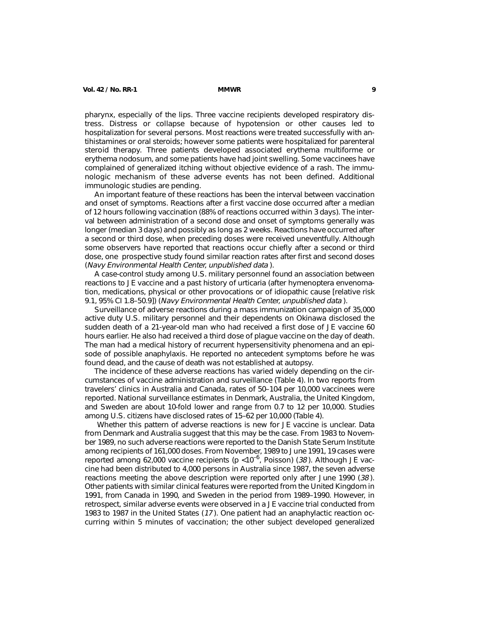pharynx, especially of the lips. Three vaccine recipients developed respiratory distress. Distress or collapse because of hypotension or other causes led to hospitalization for several persons. Most reactions were treated successfully with antihistamines or oral steroids; however some patients were hospitalized for parenteral steroid therapy. Three patients developed associated erythema multiforme or erythema nodosum, and some patients have had joint swelling. Some vaccinees have complained of generalized itching without objective evidence of a rash. The immunologic mechanism of these adverse events has not been defined. Additional immunologic studies are pending.

An important feature of these reactions has been the interval between vaccination and onset of symptoms. Reactions after a first vaccine dose occurred after a median of 12 hours following vaccination (88% of reactions occurred within 3 days). The interval between administration of a second dose and onset of symptoms generally was longer (median 3 days) and possibly as long as 2 weeks. Reactions have occurred after a second or third dose, when preceding doses were received uneventfully. Although some observers have reported that reactions occur chiefly after a second or third dose, one prospective study found similar reaction rates after first and second doses (Navy Environmental Health Center, unpublished data ).

A case-control study among U.S. military personnel found an association between reactions to JE vaccine and a past history of urticaria (after hymenoptera envenomation, medications, physical or other provocations or of idiopathic cause [relative risk 9.1, 95% CI 1.8–50.9]) (Navy Environmental Health Center, unpublished data ).

Surveillance of adverse reactions during a mass immunization campaign of 35,000 active duty U.S. military personnel and their dependents on Okinawa disclosed the sudden death of a 21-year-old man who had received a first dose of JE vaccine 60 hours earlier. He also had received a third dose of plague vaccine on the day of death. The man had a medical history of recurrent hypersensitivity phenomena and an episode of possible anaphylaxis. He reported no antecedent symptoms before he was found dead, and the cause of death was not established at autopsy.

The incidence of these adverse reactions has varied widely depending on the circumstances of vaccine administration and surveillance (Table 4). In two reports from travelers' clinics in Australia and Canada, rates of 50–104 per 10,000 vaccinees were reported. National surveillance estimates in Denmark, Australia, the United Kingdom, and Sweden are about 10-fold lower and range from 0.7 to 12 per 10,000. Studies among U.S. citizens have disclosed rates of 15–62 per 10,000 (Table 4).

 Whether this pattern of adverse reactions is new for JE vaccine is unclear. Data from Denmark and Australia suggest that this may be the case. From 1983 to November 1989, no such adverse reactions were reported to the Danish State Serum Institute among recipients of 161,000 doses. From November, 1989 to June 1991, 19 cases were reported among 62,000 vaccine recipients (p <10 $^{-6}$ , Poisson) (38). Although JE vaccine had been distributed to 4,000 persons in Australia since 1987, the seven adverse reactions meeting the above description were reported only after June 1990 (38). Other patients with similar clinical features were reported from the United Kingdom in 1991, from Canada in 1990, and Sweden in the period from 1989–1990. However, in retrospect, similar adverse events were observed in a JE vaccine trial conducted from 1983 to 1987 in the United States (17 ). One patient had an anaphylactic reaction occurring within 5 minutes of vaccination; the other subject developed generalized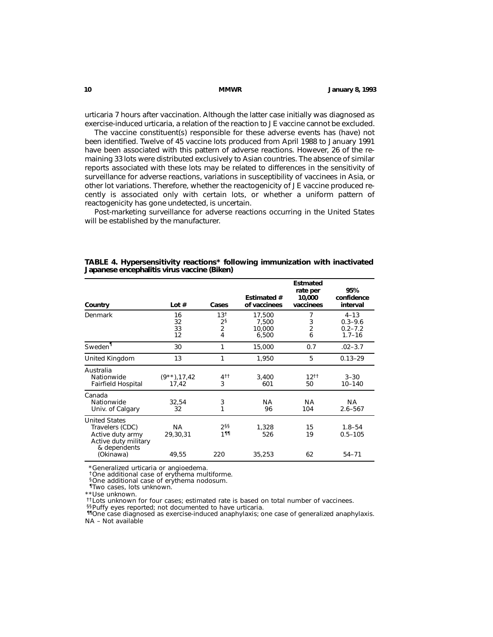urticaria 7 hours after vaccination. Although the latter case initially was diagnosed as exercise-induced urticaria, a relation of the reaction to JE vaccine cannot be excluded.

The vaccine constituent(s) responsible for these adverse events has (have) not been identified. Twelve of 45 vaccine lots produced from April 1988 to January 1991 have been associated with this pattern of adverse reactions. However, 26 of the remaining 33 lots were distributed exclusively to Asian countries. The absence of similar reports associated with these lots may be related to differences in the sensitivity of surveillance for adverse reactions, variations in susceptibility of vaccinees in Asia, or other lot variations. Therefore, whether the reactogenicity of JE vaccine produced recently is associated only with certain lots, or whether a uniform pattern of reactogenicity has gone undetected, is uncertain.

Post-marketing surveillance for adverse reactions occurring in the United States will be established by the manufacturer.

| Country                                                                                             | Lot $#$              | Cases                                      | <b>Estimated #</b><br>of vaccinees | <b>Estmated</b><br>rate per<br>10,000<br>vaccinees | 95%<br>confidence<br>interval                        |
|-----------------------------------------------------------------------------------------------------|----------------------|--------------------------------------------|------------------------------------|----------------------------------------------------|------------------------------------------------------|
| <b>Denmark</b>                                                                                      | 16<br>32<br>33<br>12 | $13^{\dagger}$<br>2 <sup>§</sup><br>2<br>4 | 17,500<br>7,500<br>10,000<br>6,500 | 7<br>3<br>$\overline{2}$<br>6                      | $4 - 13$<br>$0.3 - 9.6$<br>$0.2 - 7.2$<br>$1.7 - 16$ |
| Sweden <sup>1</sup>                                                                                 | 30                   | 1                                          | 15,000                             | 0.7                                                | $.02 - 3.7$                                          |
| United Kingdom                                                                                      | 13                   | 1                                          | 1,950                              | 5                                                  | $0.13 - 29$                                          |
| Australia<br>Nationwide<br><b>Fairfield Hospital</b>                                                | (9**),17,42<br>17,42 | 4 † †<br>3                                 | 3.400<br>601                       | $12^{11}$<br>50                                    | $3 - 30$<br>$10 - 140$                               |
| Canada<br>Nationwide<br>Univ. of Calgary                                                            | 32,54<br>32          | 3<br>1                                     | NA.<br>96                          | ΝA<br>104                                          | NA.<br>$2.6 - 567$                                   |
| <b>United States</b><br>Travelers (CDC)<br>Active duty army<br>Active duty military<br>& dependents | NA<br>29,30,31       | $2$ ss<br>1 ¶ ¶                            | 1,328<br>526                       | 15<br>19                                           | $1.8 - 54$<br>$0.5 - 105$                            |
| (Okinawa)                                                                                           | 49,55                | 220                                        | 35,253                             | 62                                                 | $54 - 71$                                            |

**TABLE 4. Hypersensitivity reactions\* following immunization with inactivated Japanese encephalitis virus vaccine (Biken)**

\*Generalized urticaria or angioedema.

†One additional case of erythema multiforme.

§One additional case of erythema nodosum.

¶Two cases, lots unknown.

\*\*Use unknown.

 $<sup>††</sup>$ Lots unknown for four cases; estimated rate is based on total number of vaccinees.<br> $<sup>§§</sup>Puffy eyes reported; not documented to have urticaria.$ </sup></sup>

§§Puffy eyes reported; not documented to have urticaria. ¶¶One case diagnosed as exercise-induced anaphylaxis; one case of generalized anaphylaxis. NA – Not available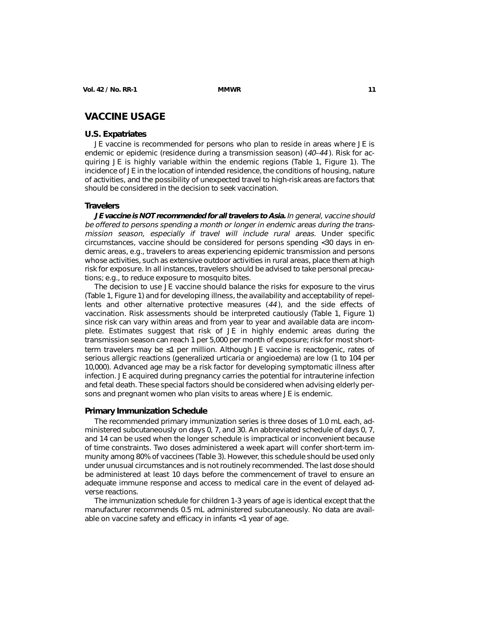### **VACCINE USAGE**

### **U.S. Expatriates**

JE vaccine is recommended for persons who plan to reside in areas where JE is endemic or epidemic (residence during a transmission season) (40–44 ). Risk for acquiring JE is highly variable within the endemic regions (Table 1, Figure 1). The incidence of JE in the location of intended residence, the conditions of housing, nature of activities, and the possibility of unexpected travel to high-risk areas are factors that should be considered in the decision to seek vaccination.

### **Travelers**

**JE vaccine is NOT recommended for all travelers to Asia.** In general, vaccine should be offered to persons spending a month or longer in endemic areas during the transmission season, especially if travel will include rural areas. Under specific circumstances, vaccine should be considered for persons spending <30 days in endemic areas, e.g., travelers to areas experiencing epidemic transmission and persons whose activities, such as extensive outdoor activities in rural areas, place them at high risk for exposure. In all instances, travelers should be advised to take personal precautions; e.g., to reduce exposure to mosquito bites.

The decision to use JE vaccine should balance the risks for exposure to the virus (Table 1, Figure 1) and for developing illness, the availability and acceptability of repellents and other alternative protective measures (44 ), and the side effects of vaccination. Risk assessments should be interpreted cautiously (Table 1, Figure 1) since risk can vary within areas and from year to year and available data are incomplete. Estimates suggest that risk of JE in highly endemic areas during the transmission season can reach 1 per 5,000 per month of exposure; risk for most shortterm travelers may be ≤1 per million. Although JE vaccine is reactogenic, rates of serious allergic reactions (generalized urticaria or angioedema) are low (1 to 104 per 10,000). Advanced age may be a risk factor for developing symptomatic illness after infection. JE acquired during pregnancy carries the potential for intrauterine infection and fetal death. These special factors should be considered when advising elderly persons and pregnant women who plan visits to areas where JE is endemic.

### **Primary Immunization Schedule**

The recommended primary immunization series is three doses of 1.0 mL each, administered subcutaneously on days 0, 7, and 30. An abbreviated schedule of days 0, 7, and 14 can be used when the longer schedule is impractical or inconvenient because of time constraints. Two doses administered a week apart will confer short-term immunity among 80% of vaccinees (Table 3). However, this schedule should be used only under unusual circumstances and is not routinely recommended. The last dose should be administered at least 10 days before the commencement of travel to ensure an adequate immune response and access to medical care in the event of delayed adverse reactions.

The immunization schedule for children 1-3 years of age is identical except that the manufacturer recommends 0.5 mL administered subcutaneously. No data are available on vaccine safety and efficacy in infants <1 year of age.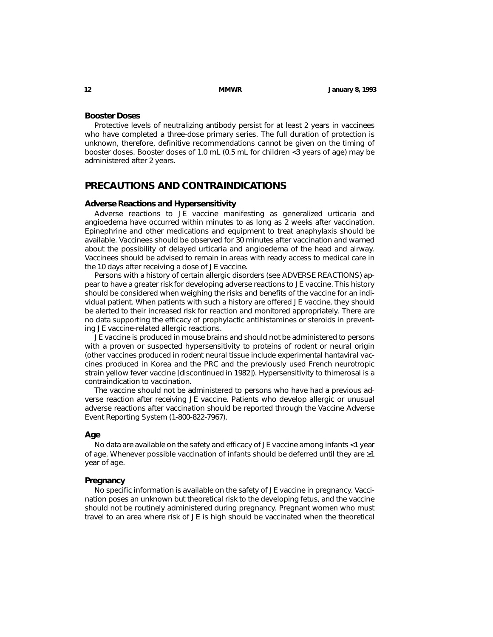### **Booster Doses**

Protective levels of neutralizing antibody persist for at least 2 years in vaccinees who have completed a three-dose primary series. The full duration of protection is unknown, therefore, definitive recommendations cannot be given on the timing of booster doses. Booster doses of 1.0 mL (0.5 mL for children <3 years of age) may be administered after 2 years.

### **PRECAUTIONS AND CONTRAINDICATIONS**

### **Adverse Reactions and Hypersensitivity**

Adverse reactions to JE vaccine manifesting as generalized urticaria and angioedema have occurred within minutes to as long as 2 weeks after vaccination. Epinephrine and other medications and equipment to treat anaphylaxis should be available. Vaccinees should be observed for 30 minutes after vaccination and warned about the possibility of delayed urticaria and angioedema of the head and airway. Vaccinees should be advised to remain in areas with ready access to medical care in the 10 days after receiving a dose of JE vaccine.

Persons with a history of certain allergic disorders (see ADVERSE REACTIONS) appear to have a greater risk for developing adverse reactions to JE vaccine. This history should be considered when weighing the risks and benefits of the vaccine for an individual patient. When patients with such a history are offered JE vaccine, they should be alerted to their increased risk for reaction and monitored appropriately. There are no data supporting the efficacy of prophylactic antihistamines or steroids in preventing JE vaccine-related allergic reactions.

JE vaccine is produced in mouse brains and should not be administered to persons with a proven or suspected hypersensitivity to proteins of rodent or neural origin (other vaccines produced in rodent neural tissue include experimental hantaviral vaccines produced in Korea and the PRC and the previously used French neurotropic strain yellow fever vaccine [discontinued in 1982]). Hypersensitivity to thimerosal is a contraindication to vaccination.

The vaccine should not be administered to persons who have had a previous adverse reaction after receiving JE vaccine. Patients who develop allergic or unusual adverse reactions after vaccination should be reported through the Vaccine Adverse Event Reporting System (1-800-822-7967).

### **Age**

No data are available on the safety and efficacy of JE vaccine among infants <1 year of age. Whenever possible vaccination of infants should be deferred until they are ≥1 year of age.

### **Pregnancy**

No specific information is available on the safety of JE vaccine in pregnancy. Vaccination poses an unknown but theoretical risk to the developing fetus, and the vaccine should not be routinely administered during pregnancy. Pregnant women who must travel to an area where risk of JE is high should be vaccinated when the theoretical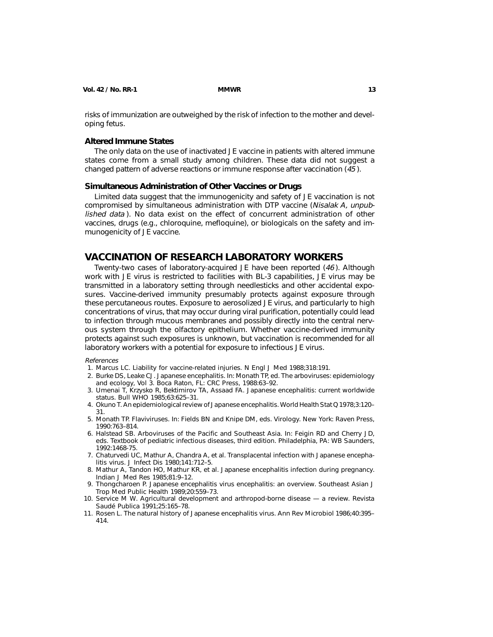risks of immunization are outweighed by the risk of infection to the mother and developing fetus.

### **Altered Immune States**

The only data on the use of inactivated JE vaccine in patients with altered immune states come from a small study among children. These data did not suggest a changed pattern of adverse reactions or immune response after vaccination (45 ).

### **Simultaneous Administration of Other Vaccines or Drugs**

Limited data suggest that the immunogenicity and safety of JE vaccination is not compromised by simultaneous administration with DTP vaccine (Nisalak A, unpublished data ). No data exist on the effect of concurrent administration of other vaccines, drugs (e.g., chloroquine, mefloquine), or biologicals on the safety and immunogenicity of JE vaccine.

### **VACCINATION OF RESEARCH LABORATORY WORKERS**

Twenty-two cases of laboratory-acquired JE have been reported (46 ). Although work with JE virus is restricted to facilities with BL-3 capabilities, JE virus may be transmitted in a laboratory setting through needlesticks and other accidental exposures. Vaccine-derived immunity presumably protects against exposure through these percutaneous routes. Exposure to aerosolized JE virus, and particularly to high concentrations of virus, that may occur during viral purification, potentially could lead to infection through mucous membranes and possibly directly into the central nervous system through the olfactory epithelium. Whether vaccine-derived immunity protects against such exposures is unknown, but vaccination is recommended for all laboratory workers with a potential for exposure to infectious JE virus.

### References

- 1. Marcus LC. Liability for vaccine-related injuries. N Engl J Med 1988;318:191.
- 2. Burke DS, Leake CJ. Japanese encephalitis. In: Monath TP, ed. The arboviruses: epidemiology and ecology, Vol 3. Boca Raton, FL: CRC Press, 1988:63–92.
- 3. Umenai T, Krzysko R, Bektimirov TA, Assaad FA. Japanese encephalitis: current worldwide status. Bull WHO 1985;63:625–31.
- 4. Okuno T. An epidemiological review of Japanese encephalitis. World Health Stat Q 1978;3:120– 31.
- 5. Monath TP. Flaviviruses. In: Fields BN and Knipe DM, eds. Virology. New York: Raven Press, 1990:763–814.
- 6. Halstead SB. Arboviruses of the Pacific and Southeast Asia. In: Feigin RD and Cherry JD, eds. Textbook of pediatric infectious diseases, third edition. Philadelphia, PA: WB Saunders, 1992:1468-75.
- 7. Chaturvedi UC, Mathur A, Chandra A, et al. Transplacental infection with Japanese encephalitis virus. J Infect Dis 1980;141:712–5.
- 8. Mathur A, Tandon HO, Mathur KR, et al. Japanese encephalitis infection during pregnancy. Indian J Med Res 1985;81:9–12.
- 9. Thongcharoen P. Japanese encephalitis virus encephalitis: an overview. Southeast Asian J Trop Med Public Health 1989;20:559–73.
- 10. Service M W. Agricultural development and arthropod-borne disease a review. Revista Saudé Publica 1991;25:165–78.
- 11. Rosen L. The natural history of Japanese encephalitis virus. Ann Rev Microbiol 1986;40:395– 414.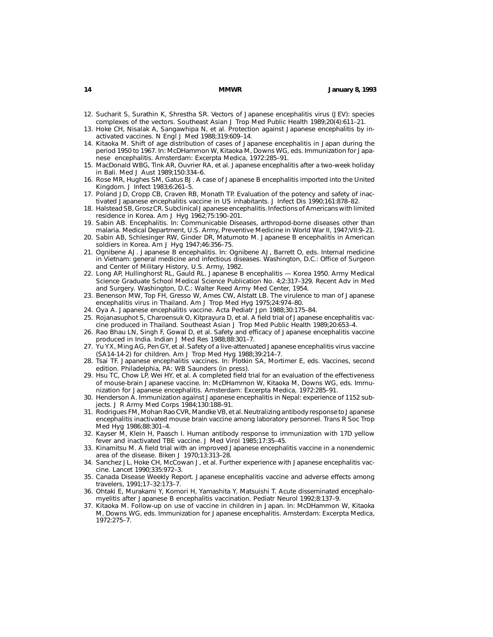- 12. Sucharit S, Surathin K, Shrestha SR. Vectors of Japanese encephalitis virus (JEV): species complexes of the vectors. Southeast Asian J Trop Med Public Health 1989;20(4):611–21.
- 13. Hoke CH, Nisalak A, Sangawhipa N, et al. Protection against Japanese encephalitis by inactivated vaccines. N Engl J Med 1988;319:609–14.
- 14. Kitaoka M. Shift of age distribution of cases of Japanese encephalitis in Japan during the period 1950 to 1967. In: McDHammon W, Kitaoka M, Downs WG, eds. Immunization for Japanese encephalitis. Amsterdam: Excerpta Medica, 1972:285–91.
- 15. MacDonald WBG, Tink AR, Ouvrier RA, et al. Japanese encephalitis after a two-week holiday in Bali. Med J Aust 1989;150:334–6.
- 16. Rose MR, Hughes SM, Gatus BJ. A case of Japanese B encephalitis imported into the United Kingdom. J Infect 1983;6:261–5.
- 17. Poland JD, Cropp CB, Craven RB, Monath TP. Evaluation of the potency and safety of inactivated Japanese encephalitis vaccine in US inhabitants. J Infect Dis 1990;161:878–82.
- 18. Halstead SB, Grosz CR. Subclinical Japanese encephalitis. Infections of Americans with limited residence in Korea. Am J Hyg 1962;75:190–201.
- 19. Sabin AB. Encephalitis. In: Communicable Diseases, arthropod-borne diseases other than malaria. Medical Department, U.S. Army, Preventive Medicine in World War II, 1947;VII:9–21.
- 20. Sabin AB, Schlesinger RW, Ginder DR, Matumoto M. Japanese B encephalitis in American soldiers in Korea. Am J Hyg 1947;46:356–75.
- 21. Ognibene AJ. Japanese B encephalitis. In: Ognibene AJ, Barrett O, eds. Internal medicine in Vietnam: general medicine and infectious diseases. Washington, D.C.: Office of Surgeon and Center of Military History, U.S. Army, 1982.
- 22. Long AP, Hullinghorst RL, Gauld RL. Japanese B encephalitis Korea 1950. Army Medical Science Graduate School Medical Science Publication No. 4;2:317–329. Recent Adv in Med and Surgery. Washington, D.C.: Walter Reed Army Med Center, 1954.
- 23. Benenson MW, Top FH, Gresso W, Ames CW, Alstatt LB. The virulence to man of Japanese encephalitis virus in Thailand. Am J Trop Med Hyg 1975;24:974–80.
- 24. Oya A. Japanese encephalitis vaccine. Acta Pediatr Jpn 1988;30:175–84.
- 25. Rojanasuphot S, Charoensuk O, Kitprayura D, et al. A field trial of Japanese encephalitis vaccine produced in Thailand. Southeast Asian J Trop Med Public Health 1989;20:653–4.
- 26. Rao Bhau LN, Singh F, Gowal D, et al. Safety and efficacy of Japanese encephalitis vaccine produced in India. Indian J Med Res 1988;88:301–7.
- 27. Yu YX, Ming AG, Pen GY, et al. Safety of a live-attenuated Japanese encephalitis virus vaccine (SA14-14-2) for children. Am J Trop Med Hyg 1988;39:214–7.
- 28. Tsai TF. Japanese encephalitis vaccines. In: Plotkin SA, Mortimer E, eds. Vaccines, second edition. Philadelphia, PA: WB Saunders (in press).
- 29. Hsu TC, Chow LP, Wei HY, et al. A completed field trial for an evaluation of the effectiveness of mouse-brain Japanese vaccine. In: McDHammon W, Kitaoka M, Downs WG, eds. Immunization for Japanese encephalitis. Amsterdam: Excerpta Medica, 1972:285–91.
- 30. Henderson A. Immunization against Japanese encephalitis in Nepal: experience of 1152 subjects. J R Army Med Corps 1984;130:188–91.
- 31. Rodrigues FM, Mohan Rao CVR, Mandke VB, et al. Neutralizing antibody response to Japanese encephalitis inactivated mouse brain vaccine among laboratory personnel. Trans R Soc Trop Med Hyg 1986;88:301–4.
- 32. Kayser M, Klein H, Paasch I. Human antibody response to immunization with 17D yellow fever and inactivated TBE vaccine. J Med Virol 1985;17:35–45.
- 33. Kinamitsu M. A field trial with an improved Japanese encephalitis vaccine in a nonendemic area of the disease. Biken J 1970;13:313–28.
- 34. Sanchez JL, Hoke CH, McCowan J, et al. Further experience with Japanese encephalitis vaccine. Lancet 1990;335:972–3.
- 35. Canada Disease Weekly Report. Japanese encephalitis vaccine and adverse effects among travelers, 1991;17–32:173–7.
- 36. Ohtaki E, Murakami Y, Komori H, Yamashita Y, Matsuishi T. Acute disseminated encephalomyelitis after Japanese B encephalitis vaccination. Pediatr Neurol 1992;8:137–9.
- 37. Kitaoka M. Follow-up on use of vaccine in children in Japan. In: McDHammon W, Kitaoka M, Downs WG, eds. Immunization for Japanese encephalitis. Amsterdam: Excerpta Medica, 1972:275–7.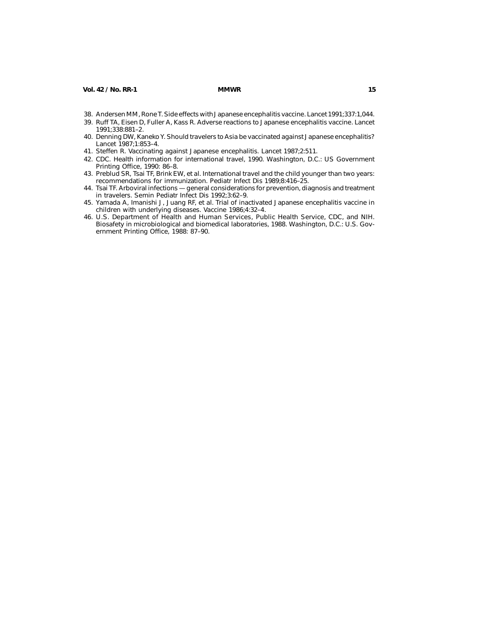- 38. Andersen MM, Rone T. Side effects with Japanese encephalitis vaccine. Lancet 1991;337:1,044.
- 39. Ruff TA, Eisen D, Fuller A, Kass R. Adverse reactions to Japanese encephalitis vaccine. Lancet 1991;338:881–2.
- 40. Denning DW, Kaneko Y. Should travelers to Asia be vaccinated against Japanese encephalitis? Lancet 1987;1:853–4.
- 41. Steffen R. Vaccinating against Japanese encephalitis. Lancet 1987;2:511.
- 42. CDC. Health information for international travel, 1990. Washington, D.C.: US Government Printing Office, 1990: 86–8.
- 43. Preblud SR, Tsai TF, Brink EW, et al. International travel and the child younger than two years: recommendations for immunization. Pediatr Infect Dis 1989;8:416–25.
- 44. Tsai TF. Arboviral infections general considerations for prevention, diagnosis and treatment in travelers. Semin Pediatr Infect Dis 1992;3:62–9.
- 45. Yamada A, Imanishi J, Juang RF, et al. Trial of inactivated Japanese encephalitis vaccine in children with underlying diseases. Vaccine 1986;4:32–4.
- 46. U.S. Department of Health and Human Services, Public Health Service, CDC, and NIH. Biosafety in microbiological and biomedical laboratories, 1988. Washington, D.C.: U.S. Government Printing Office, 1988: 87–90.